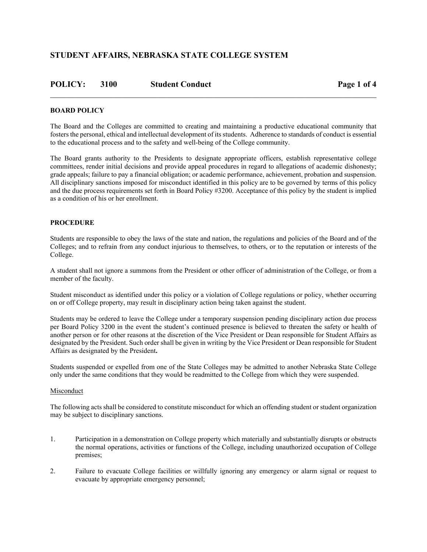| <b>POLICY: 3100</b> | <b>Student Conduct</b> | Page 1 of 4 |
|---------------------|------------------------|-------------|
|                     |                        |             |

### **BOARD POLICY**

The Board and the Colleges are committed to creating and maintaining a productive educational community that fosters the personal, ethical and intellectual development of its students. Adherence to standards of conduct is essential to the educational process and to the safety and well-being of the College community.

The Board grants authority to the Presidents to designate appropriate officers, establish representative college committees, render initial decisions and provide appeal procedures in regard to allegations of academic dishonesty; grade appeals; failure to pay a financial obligation; or academic performance, achievement, probation and suspension. All disciplinary sanctions imposed for misconduct identified in this policy are to be governed by terms of this policy and the due process requirements set forth in Board Policy #3200. Acceptance of this policy by the student is implied as a condition of his or her enrollment.

### **PROCEDURE**

Students are responsible to obey the laws of the state and nation, the regulations and policies of the Board and of the Colleges; and to refrain from any conduct injurious to themselves, to others, or to the reputation or interests of the College.

A student shall not ignore a summons from the President or other officer of administration of the College, or from a member of the faculty.

Student misconduct as identified under this policy or a violation of College regulations or policy, whether occurring on or off College property, may result in disciplinary action being taken against the student.

Students may be ordered to leave the College under a temporary suspension pending disciplinary action due process per Board Policy 3200 in the event the student's continued presence is believed to threaten the safety or health of another person or for other reasons at the discretion of the Vice President or Dean responsible for Student Affairs as designated by the President. Such order shall be given in writing by the Vice President or Dean responsible for Student Affairs as designated by the President**.**

Students suspended or expelled from one of the State Colleges may be admitted to another Nebraska State College only under the same conditions that they would be readmitted to the College from which they were suspended.

#### Misconduct

The following acts shall be considered to constitute misconduct for which an offending student or student organization may be subject to disciplinary sanctions.

- 1. Participation in a demonstration on College property which materially and substantially disrupts or obstructs the normal operations, activities or functions of the College, including unauthorized occupation of College premises;
- 2. Failure to evacuate College facilities or willfully ignoring any emergency or alarm signal or request to evacuate by appropriate emergency personnel;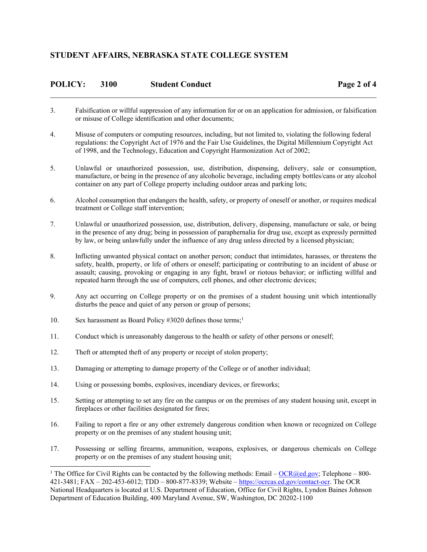| <b>POLICY:</b> | 3100 | <b>Student Conduct</b> | Page 2 of 4 |
|----------------|------|------------------------|-------------|
|                |      |                        |             |

- 3. Falsification or willful suppression of any information for or on an application for admission, or falsification or misuse of College identification and other documents;
- 4. Misuse of computers or computing resources, including, but not limited to, violating the following federal regulations: the Copyright Act of 1976 and the Fair Use Guidelines, the Digital Millennium Copyright Act of 1998, and the Technology, Education and Copyright Harmonization Act of 2002;
- 5. Unlawful or unauthorized possession, use, distribution, dispensing, delivery, sale or consumption, manufacture, or being in the presence of any alcoholic beverage, including empty bottles/cans or any alcohol container on any part of College property including outdoor areas and parking lots;
- 6. Alcohol consumption that endangers the health, safety, or property of oneself or another, or requires medical treatment or College staff intervention;
- 7. Unlawful or unauthorized possession, use, distribution, delivery, dispensing, manufacture or sale, or being in the presence of any drug; being in possession of paraphernalia for drug use, except as expressly permitted by law, or being unlawfully under the influence of any drug unless directed by a licensed physician;
- 8. Inflicting unwanted physical contact on another person; conduct that intimidates, harasses, or threatens the safety, health, property, or life of others or oneself; participating or contributing to an incident of abuse or assault; causing, provoking or engaging in any fight, brawl or riotous behavior; or inflicting willful and repeated harm through the use of computers, cell phones, and other electronic devices;
- 9. Any act occurring on College property or on the premises of a student housing unit which intentionally disturbs the peace and quiet of any person or group of persons;
- 10. Sex harassment as Board Policy #3020 defines those terms;<sup>1</sup>

-

- 11. Conduct which is unreasonably dangerous to the health or safety of other persons or oneself;
- 12. Theft or attempted theft of any property or receipt of stolen property;
- 13. Damaging or attempting to damage property of the College or of another individual;
- 14. Using or possessing bombs, explosives, incendiary devices, or fireworks;
- 15. Setting or attempting to set any fire on the campus or on the premises of any student housing unit, except in fireplaces or other facilities designated for fires;
- 16. Failing to report a fire or any other extremely dangerous condition when known or recognized on College property or on the premises of any student housing unit;
- 17. Possessing or selling firearms, ammunition, weapons, explosives, or dangerous chemicals on College property or on the premises of any student housing unit;

<sup>&</sup>lt;sup>1</sup> The Office for Civil Rights can be contacted by the following methods: Email –  $OCR@ed.gov; Telephone - 800-$ </u> 421-3481; FAX – 202-453-6012; TDD – 800-877-8339; Website – https://ocrcas.ed.gov/contact-ocr. The OCR National Headquarters is located at U.S. Department of Education, Office for Civil Rights, Lyndon Baines Johnson Department of Education Building, 400 Maryland Avenue, SW, Washington, DC 20202-1100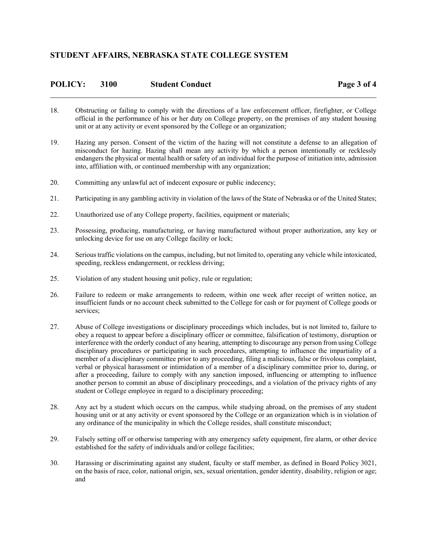| <b>POLICY:</b> | 3100 | <b>Student Conduct</b> | Page 3 of 4 |
|----------------|------|------------------------|-------------|
|                |      |                        |             |

- 18. Obstructing or failing to comply with the directions of a law enforcement officer, firefighter, or College official in the performance of his or her duty on College property, on the premises of any student housing unit or at any activity or event sponsored by the College or an organization;
- 19. Hazing any person. Consent of the victim of the hazing will not constitute a defense to an allegation of misconduct for hazing. Hazing shall mean any activity by which a person intentionally or recklessly endangers the physical or mental health or safety of an individual for the purpose of initiation into, admission into, affiliation with, or continued membership with any organization;
- 20. Committing any unlawful act of indecent exposure or public indecency;
- 21. Participating in any gambling activity in violation of the laws of the State of Nebraska or of the United States;
- 22. Unauthorized use of any College property, facilities, equipment or materials;
- 23. Possessing, producing, manufacturing, or having manufactured without proper authorization, any key or unlocking device for use on any College facility or lock;
- 24. Serious traffic violations on the campus, including, but not limited to, operating any vehicle while intoxicated, speeding, reckless endangerment, or reckless driving;
- 25. Violation of any student housing unit policy, rule or regulation;
- 26. Failure to redeem or make arrangements to redeem, within one week after receipt of written notice, an insufficient funds or no account check submitted to the College for cash or for payment of College goods or services;
- 27. Abuse of College investigations or disciplinary proceedings which includes, but is not limited to, failure to obey a request to appear before a disciplinary officer or committee, falsification of testimony, disruption or interference with the orderly conduct of any hearing, attempting to discourage any person from using College disciplinary procedures or participating in such procedures, attempting to influence the impartiality of a member of a disciplinary committee prior to any proceeding, filing a malicious, false or frivolous complaint, verbal or physical harassment or intimidation of a member of a disciplinary committee prior to, during, or after a proceeding, failure to comply with any sanction imposed, influencing or attempting to influence another person to commit an abuse of disciplinary proceedings, and a violation of the privacy rights of any student or College employee in regard to a disciplinary proceeding;
- 28. Any act by a student which occurs on the campus, while studying abroad, on the premises of any student housing unit or at any activity or event sponsored by the College or an organization which is in violation of any ordinance of the municipality in which the College resides, shall constitute misconduct;
- 29. Falsely setting off or otherwise tampering with any emergency safety equipment, fire alarm, or other device established for the safety of individuals and/or college facilities;
- 30. Harassing or discriminating against any student, faculty or staff member, as defined in Board Policy 3021, on the basis of race, color, national origin, sex, sexual orientation, gender identity, disability, religion or age; and